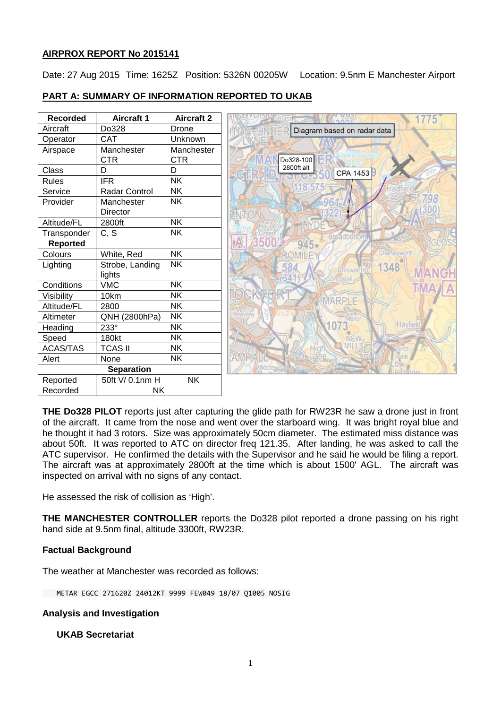## **AIRPROX REPORT No 2015141**

Date: 27 Aug 2015 Time: 1625Z Position: 5326N 00205W Location: 9.5nm E Manchester Airport

## **PART A: SUMMARY OF INFORMATION REPORTED TO UKAB**

| <b>Recorded</b>   | <b>Aircraft 1</b>         | <b>Aircraft 2</b>        |
|-------------------|---------------------------|--------------------------|
| Aircraft          | Do328                     | Drone                    |
| Operator          | CAT                       | Unknown                  |
| Airspace          | Manchester<br><b>CTR</b>  | Manchester<br><b>CTR</b> |
| Class             | D                         | D                        |
| <b>Rules</b>      | <b>IFR</b>                | NK                       |
| Service           | <b>Radar Control</b>      | NK                       |
| Provider          | Manchester<br>Director    | NΚ                       |
| Altitude/FL       | 2800ft                    | <b>NK</b>                |
| Transponder       | C, S                      | <b>NK</b>                |
| <b>Reported</b>   |                           |                          |
| Colours           | White, Red                | <b>NK</b>                |
| Lighting          | Strobe, Landing<br>lights | NK                       |
| Conditions        | <b>VMC</b>                | <b>NK</b>                |
| Visibility        | 10km                      | <b>NK</b>                |
| Altitude/FL       | 2800                      | <b>NK</b>                |
| Altimeter         | QNH (2800hPa)             | <b>NK</b>                |
| Heading           | $233^\circ$               | NK                       |
| Speed             | 180kt                     | NΚ                       |
| <b>ACAS/TAS</b>   | <b>TCAS II</b>            | <b>NK</b>                |
| Alert             | None                      | <b>NK</b>                |
| <b>Separation</b> |                           |                          |
| Reported          | 50ft V/ 0.1nm H           | <b>NK</b>                |
| Recorded          | NΚ                        |                          |



**THE Do328 PILOT** reports just after capturing the glide path for RW23R he saw a drone just in front of the aircraft. It came from the nose and went over the starboard wing. It was bright royal blue and he thought it had 3 rotors. Size was approximately 50cm diameter. The estimated miss distance was about 50ft. It was reported to ATC on director freq 121.35. After landing, he was asked to call the ATC supervisor. He confirmed the details with the Supervisor and he said he would be filing a report. The aircraft was at approximately 2800ft at the time which is about 1500' AGL. The aircraft was inspected on arrival with no signs of any contact.

He assessed the risk of collision as 'High'.

**THE MANCHESTER CONTROLLER** reports the Do328 pilot reported a drone passing on his right hand side at 9.5nm final, altitude 3300ft, RW23R.

## **Factual Background**

The weather at Manchester was recorded as follows:

METAR EGCC 271620Z 24012KT 9999 FEW049 18/07 Q1005 NOSIG

## **Analysis and Investigation**

# **UKAB Secretariat**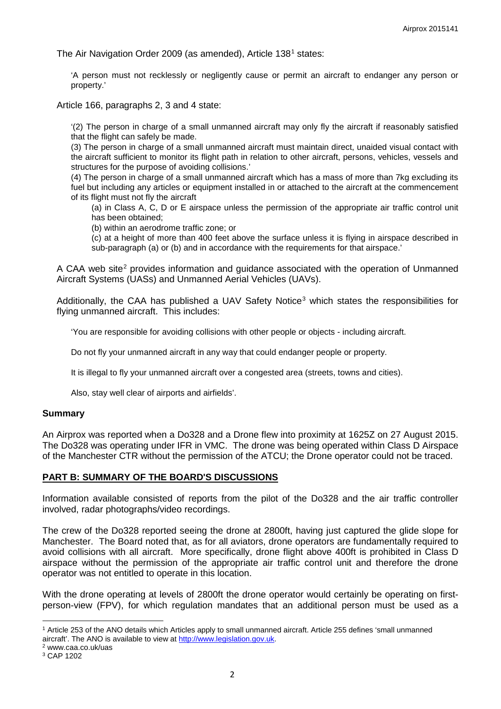The Air Navigation Order 2009 (as amended), Article [1](#page-1-0)38<sup>1</sup> states:

'A person must not recklessly or negligently cause or permit an aircraft to endanger any person or property.'

Article 166, paragraphs 2, 3 and 4 state:

'(2) The person in charge of a small unmanned aircraft may only fly the aircraft if reasonably satisfied that the flight can safely be made.

(3) The person in charge of a small unmanned aircraft must maintain direct, unaided visual contact with the aircraft sufficient to monitor its flight path in relation to other aircraft, persons, vehicles, vessels and structures for the purpose of avoiding collisions.'

(4) The person in charge of a small unmanned aircraft which has a mass of more than 7kg excluding its fuel but including any articles or equipment installed in or attached to the aircraft at the commencement of its flight must not fly the aircraft

(a) in Class A, C, D or E airspace unless the permission of the appropriate air traffic control unit has been obtained;

(b) within an aerodrome traffic zone; or

(c) at a height of more than 400 feet above the surface unless it is flying in airspace described in sub-paragraph (a) or (b) and in accordance with the requirements for that airspace.'

A CAA web site<sup>[2](#page-1-1)</sup> provides information and quidance associated with the operation of Unmanned Aircraft Systems (UASs) and Unmanned Aerial Vehicles (UAVs).

Additionally, the CAA has published a UAV Safety Notice<sup>[3](#page-1-2)</sup> which states the responsibilities for flying unmanned aircraft. This includes:

'You are responsible for avoiding collisions with other people or objects - including aircraft.

Do not fly your unmanned aircraft in any way that could endanger people or property.

It is illegal to fly your unmanned aircraft over a congested area (streets, towns and cities).

Also, stay well clear of airports and airfields'.

#### **Summary**

An Airprox was reported when a Do328 and a Drone flew into proximity at 1625Z on 27 August 2015. The Do328 was operating under IFR in VMC. The drone was being operated within Class D Airspace of the Manchester CTR without the permission of the ATCU; the Drone operator could not be traced.

### **PART B: SUMMARY OF THE BOARD'S DISCUSSIONS**

Information available consisted of reports from the pilot of the Do328 and the air traffic controller involved, radar photographs/video recordings.

The crew of the Do328 reported seeing the drone at 2800ft, having just captured the glide slope for Manchester. The Board noted that, as for all aviators, drone operators are fundamentally required to avoid collisions with all aircraft. More specifically, drone flight above 400ft is prohibited in Class D airspace without the permission of the appropriate air traffic control unit and therefore the drone operator was not entitled to operate in this location.

With the drone operating at levels of 2800ft the drone operator would certainly be operating on firstperson-view (FPV), for which regulation mandates that an additional person must be used as a

 $\overline{\phantom{a}}$ 

<span id="page-1-0"></span><sup>1</sup> Article 253 of the ANO details which Articles apply to small unmanned aircraft. Article 255 defines 'small unmanned aircraft'. The ANO is available to view at [http://www.legislation.gov.uk.](http://www.legislation.gov.uk/)<br><sup>2</sup> www.caa.co.uk/uas

<span id="page-1-1"></span>

<span id="page-1-2"></span><sup>3</sup> CAP 1202